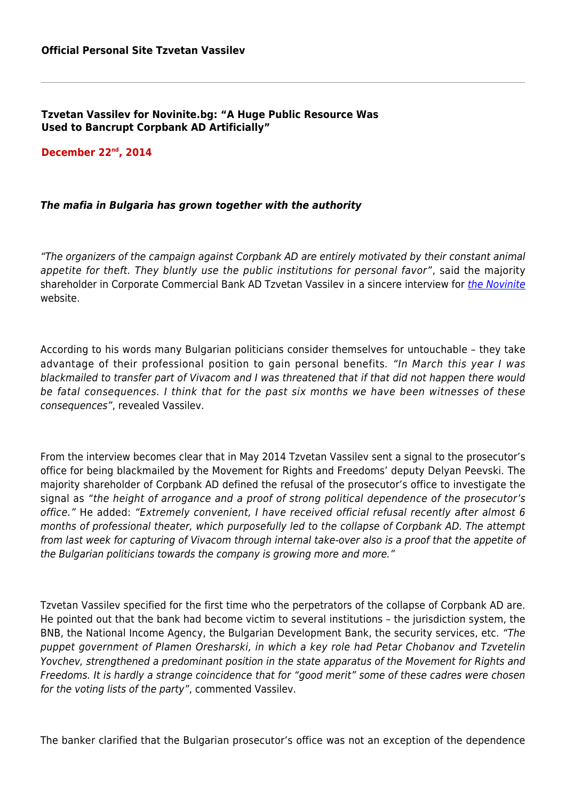**Tzvetan Vassilev for Novinite.bg: "A Huge Public Resource Was Used to Bancrupt Corpbank AD Artificially"**

**December 22nd, 2014**

## *The mafia in Bulgaria has grown together with the authority*

"The organizers of the campaign against Corpbank AD are entirely motivated by their constant animal appetite for theft. They bluntly use the public institutions for personal favor", said the majority shareholder in Corporate Commercial Bank AD Tzvetan Vassilev in a sincere interview for [the Novinite](http://www.novinite.com/articles/165579/Tsvetan Vasilev: I Expect of Court to Do Its Job on <b>KTB</b> with Precision) website.

According to his words many Bulgarian politicians consider themselves for untouchable – they take advantage of their professional position to gain personal benefits. "In March this year I was blackmailed to transfer part of Vivacom and I was threatened that if that did not happen there would be fatal consequences. I think that for the past six months we have been witnesses of these consequences", revealed Vassilev.

From the interview becomes clear that in May 2014 Tzvetan Vassilev sent a signal to the prosecutor's office for being blackmailed by the Movement for Rights and Freedoms' deputy Delyan Peevski. The majority shareholder of Corpbank AD defined the refusal of the prosecutor's office to investigate the signal as "the height of arrogance and a proof of strong political dependence of the prosecutor's office." He added: "Extremely convenient, I have received official refusal recently after almost 6 months of professional theater, which purposefully led to the collapse of Corpbank AD. The attempt from last week for capturing of Vivacom through internal take-over also is a proof that the appetite of the Bulgarian politicians towards the company is growing more and more."

Tzvetan Vassilev specified for the first time who the perpetrators of the collapse of Corpbank AD are. He pointed out that the bank had become victim to several institutions – the jurisdiction system, the BNB, the National Income Agency, the Bulgarian Development Bank, the security services, etc. "The puppet government of Plamen Oresharski, in which a key role had Petar Chobanov and Tzvetelin Yovchev, strengthened a predominant position in the state apparatus of the Movement for Rights and Freedoms. It is hardly a strange coincidence that for "good merit" some of these cadres were chosen for the voting lists of the party", commented Vassilev.

The banker clarified that the Bulgarian prosecutor's office was not an exception of the dependence